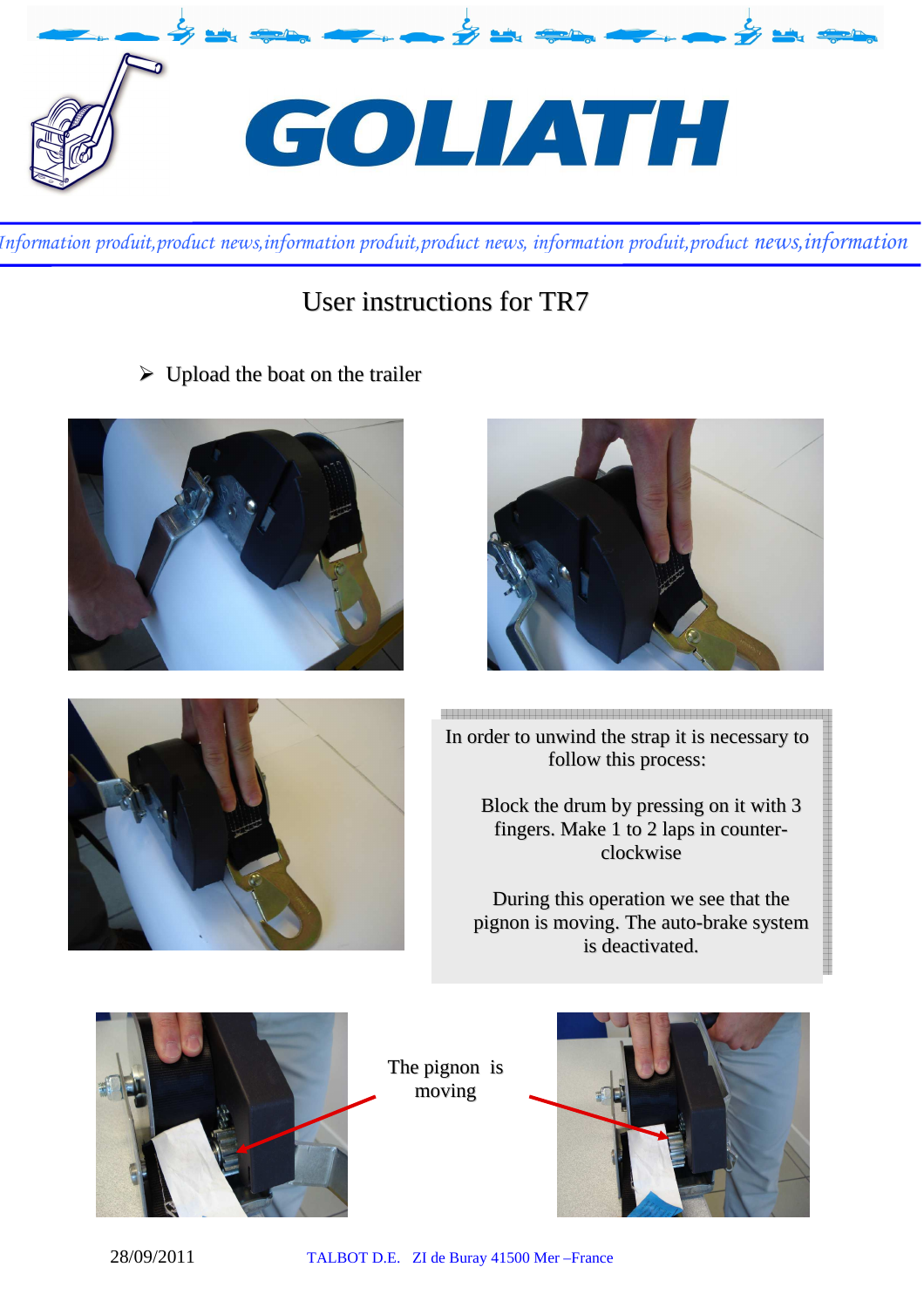

## User instructions for TR7

 $\triangleright$  Upload the boat on the trailer







<br>그래도 그는 그들은 그들은 그들을 이용하고 있는 것을 이 그들을 것으로 그들을 것으로 그들을 것으로 그들을 것으로 그들을 것으로 그들을 것으로 그들을 것으로 그들을 것으로 그들을 것으로 그들을 것으<br>그들은 그들은 그들은 그들을 그들을 것으로 그들을 것으로 그들을 것으로 그들을 것으로 그들을 것으로 그들을 것으로 그들을 것으로 그들을 것으로 그들을 것으로 그들을 것으로 그들을 것으로 그들을 것 In order to unwind the strap it is necessary to follow this process:

> Block the drum by pressing on it with 3 fingers. Make 1 to 2 laps in counterclockwise

During this operation we see that the pignon is moving. The auto-brake system is deactivated.



The pignon is moving

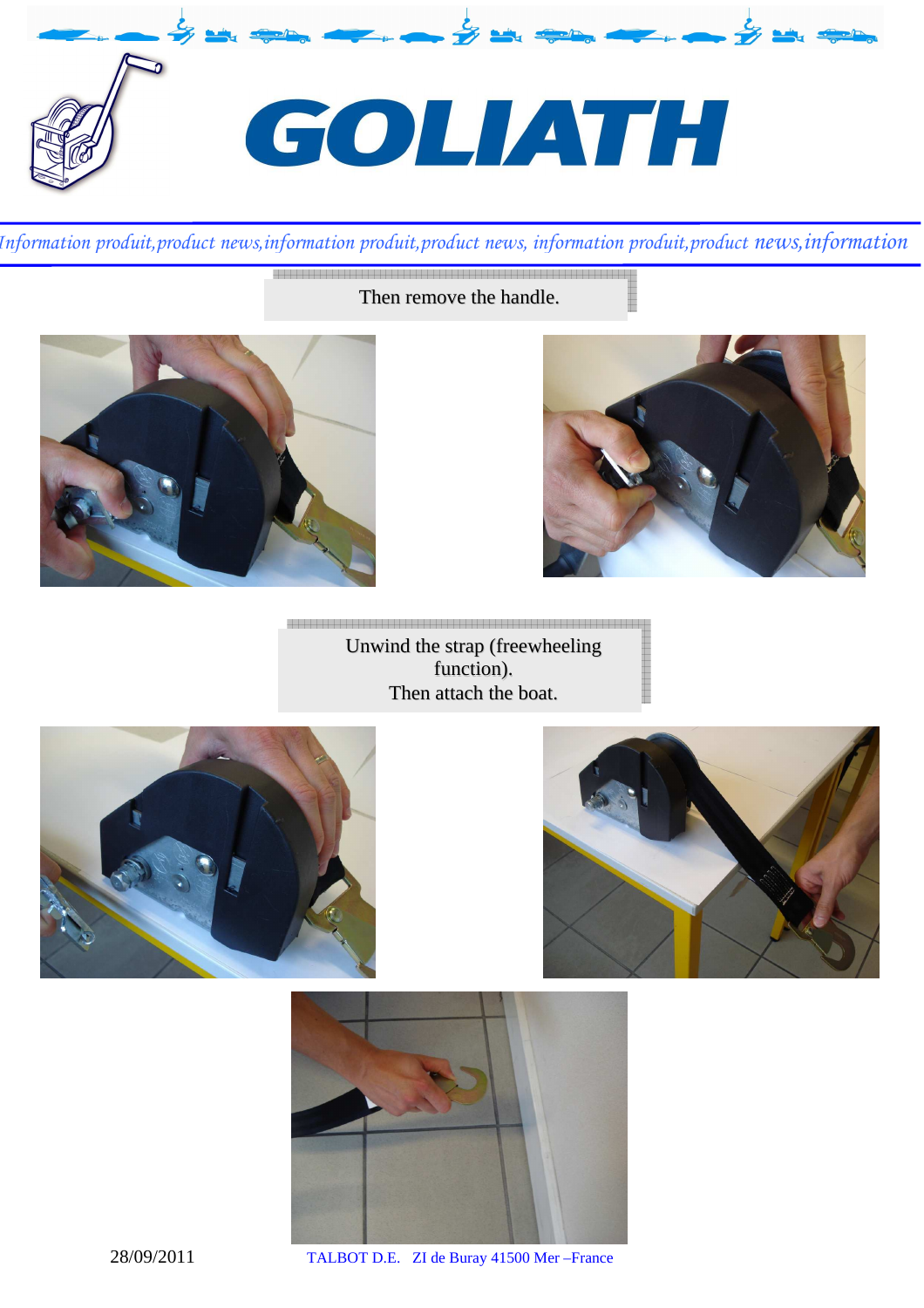

Then remove the handle.





Unwind the strap (freewheeling

function). Then attach the boat.







28/09/2011 TALBOT D.E. ZI de Buray 41500 Mer –France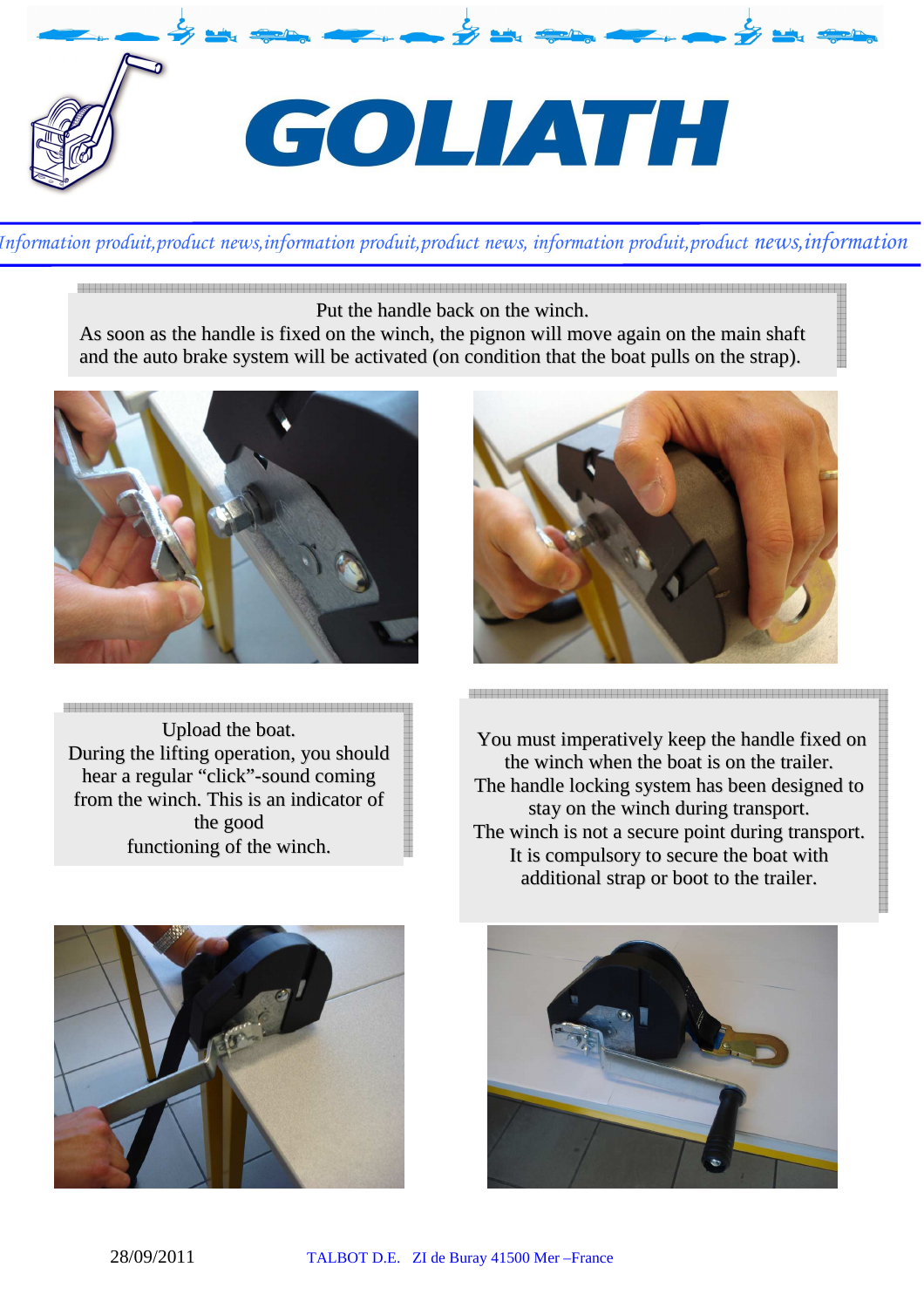

 Put the handle back on the winch.

As soon as the handle is fixed on the winch, the pignon will move again on the main shaft and the auto brake system will be activated (on condition that the boat pulls on the strap).



Upload the boat. During the lifting operation, you should hear a regular "click"-sound coming from the winch. This is an indicator of the good functioning of the winch.



You must imperatively keep the handle fixed on the winch when the boat is on the trailer. The handle locking system has been designed to stay on the winch during transport. The winch is not a secure point during transport. It is compulsory to secure the boat with additional strap or boot to the trailer.